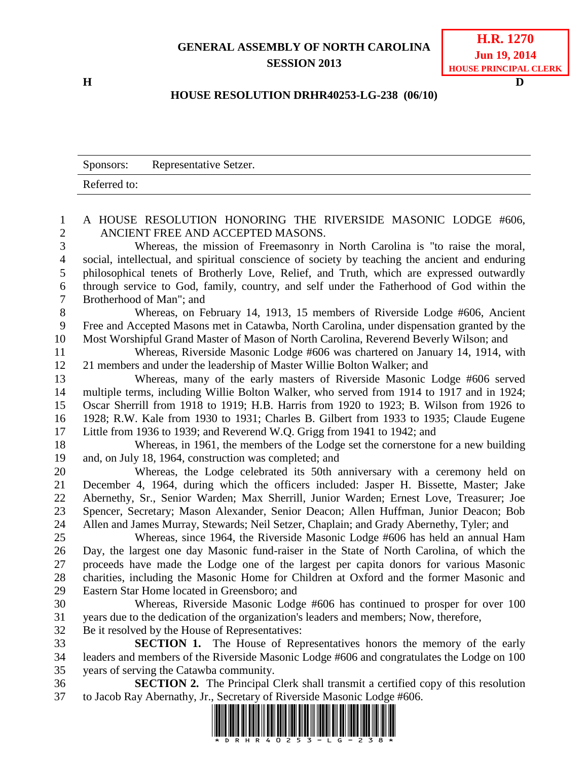## **GENERAL ASSEMBLY OF NORTH CAROLINA SESSION 2013**

**H D**

## **HOUSE RESOLUTION DRHR40253-LG-238 (06/10)**

|                     | Sponsors:<br>Representative Setzer.                                                                                                                                              |
|---------------------|----------------------------------------------------------------------------------------------------------------------------------------------------------------------------------|
|                     | Referred to:                                                                                                                                                                     |
|                     |                                                                                                                                                                                  |
| 1<br>$\overline{2}$ | A HOUSE RESOLUTION HONORING THE RIVERSIDE MASONIC LODGE #606,<br>ANCIENT FREE AND ACCEPTED MASONS.                                                                               |
| 3                   | Whereas, the mission of Freemasonry in North Carolina is "to raise the moral,                                                                                                    |
| $\overline{4}$      | social, intellectual, and spiritual conscience of society by teaching the ancient and enduring                                                                                   |
| 5                   | philosophical tenets of Brotherly Love, Relief, and Truth, which are expressed outwardly                                                                                         |
| 6<br>7              | through service to God, family, country, and self under the Fatherhood of God within the<br>Brotherhood of Man"; and                                                             |
| $8\,$               | Whereas, on February 14, 1913, 15 members of Riverside Lodge #606, Ancient                                                                                                       |
| 9                   | Free and Accepted Masons met in Catawba, North Carolina, under dispensation granted by the                                                                                       |
| 10                  | Most Worshipful Grand Master of Mason of North Carolina, Reverend Beverly Wilson; and                                                                                            |
| 11                  | Whereas, Riverside Masonic Lodge #606 was chartered on January 14, 1914, with                                                                                                    |
| 12                  | 21 members and under the leadership of Master Willie Bolton Walker; and                                                                                                          |
| 13                  | Whereas, many of the early masters of Riverside Masonic Lodge #606 served                                                                                                        |
| 14                  | multiple terms, including Willie Bolton Walker, who served from 1914 to 1917 and in 1924;                                                                                        |
| 15                  | Oscar Sherrill from 1918 to 1919; H.B. Harris from 1920 to 1923; B. Wilson from 1926 to                                                                                          |
| 16                  | 1928; R.W. Kale from 1930 to 1931; Charles B. Gilbert from 1933 to 1935; Claude Eugene                                                                                           |
| 17                  | Little from 1936 to 1939; and Reverend W.Q. Grigg from 1941 to 1942; and                                                                                                         |
| 18                  | Whereas, in 1961, the members of the Lodge set the cornerstone for a new building                                                                                                |
| 19                  | and, on July 18, 1964, construction was completed; and                                                                                                                           |
| 20                  | Whereas, the Lodge celebrated its 50th anniversary with a ceremony held on                                                                                                       |
| 21                  | December 4, 1964, during which the officers included: Jasper H. Bissette, Master; Jake                                                                                           |
| 22<br>23            | Abernethy, Sr., Senior Warden; Max Sherrill, Junior Warden; Ernest Love, Treasurer; Joe<br>Spencer, Secretary; Mason Alexander, Senior Deacon; Allen Huffman, Junior Deacon; Bob |
| 24                  | Allen and James Murray, Stewards; Neil Setzer, Chaplain; and Grady Abernethy, Tyler; and                                                                                         |
| 25                  | Whereas, since 1964, the Riverside Masonic Lodge #606 has held an annual Ham                                                                                                     |
| 26                  | Day, the largest one day Masonic fund-raiser in the State of North Carolina, of which the                                                                                        |
| 27                  | proceeds have made the Lodge one of the largest per capita donors for various Masonic                                                                                            |
| 28                  | charities, including the Masonic Home for Children at Oxford and the former Masonic and                                                                                          |
| 29                  | Eastern Star Home located in Greensboro; and                                                                                                                                     |
| 30                  | Whereas, Riverside Masonic Lodge #606 has continued to prosper for over 100                                                                                                      |
| 31                  | years due to the dedication of the organization's leaders and members; Now, therefore,                                                                                           |
| 32                  | Be it resolved by the House of Representatives:                                                                                                                                  |
| 33                  | <b>SECTION 1.</b> The House of Representatives honors the memory of the early                                                                                                    |
| 34                  | leaders and members of the Riverside Masonic Lodge #606 and congratulates the Lodge on 100                                                                                       |
| 35                  | years of serving the Catawba community.                                                                                                                                          |
| 36                  | <b>SECTION 2.</b> The Principal Clerk shall transmit a certified copy of this resolution                                                                                         |
| 37                  | to Jacob Ray Abernathy, Jr., Secretary of Riverside Masonic Lodge #606.                                                                                                          |
|                     | <u> Tanzania di Baratta di Baratta di Baratta di Baratta di Baratta di Baratta di Baratta di Baratta di Baratta </u>                                                             |

\*Drive Party and the King Ran Ban Ban Find in the Line of the Time Party and Am Time